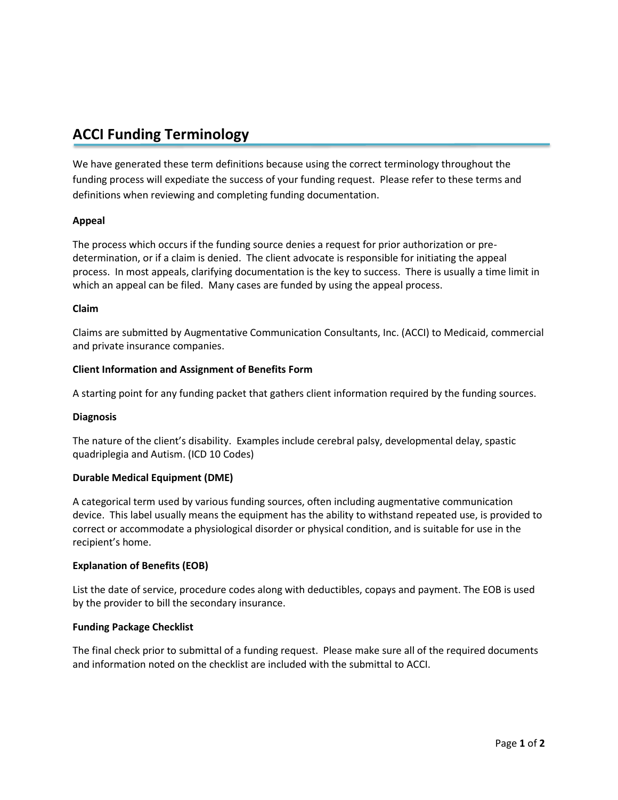# **ACCI Funding Terminology**

We have generated these term definitions because using the correct terminology throughout the funding process will expediate the success of your funding request. Please refer to these terms and definitions when reviewing and completing funding documentation.

# **Appeal**

The process which occurs if the funding source denies a request for prior authorization or predetermination, or if a claim is denied. The client advocate is responsible for initiating the appeal process. In most appeals, clarifying documentation is the key to success. There is usually a time limit in which an appeal can be filed. Many cases are funded by using the appeal process.

# **Claim**

Claims are submitted by Augmentative Communication Consultants, Inc. (ACCI) to Medicaid, commercial and private insurance companies.

# **Client Information and Assignment of Benefits Form**

A starting point for any funding packet that gathers client information required by the funding sources.

# **Diagnosis**

The nature of the client's disability. Examples include cerebral palsy, developmental delay, spastic quadriplegia and Autism. (ICD 10 Codes)

# **Durable Medical Equipment (DME)**

A categorical term used by various funding sources, often including augmentative communication device. This label usually means the equipment has the ability to withstand repeated use, is provided to correct or accommodate a physiological disorder or physical condition, and is suitable for use in the recipient's home.

# **Explanation of Benefits (EOB)**

List the date of service, procedure codes along with deductibles, copays and payment. The EOB is used by the provider to bill the secondary insurance.

#### **Funding Package Checklist**

The final check prior to submittal of a funding request. Please make sure all of the required documents and information noted on the checklist are included with the submittal to ACCI.